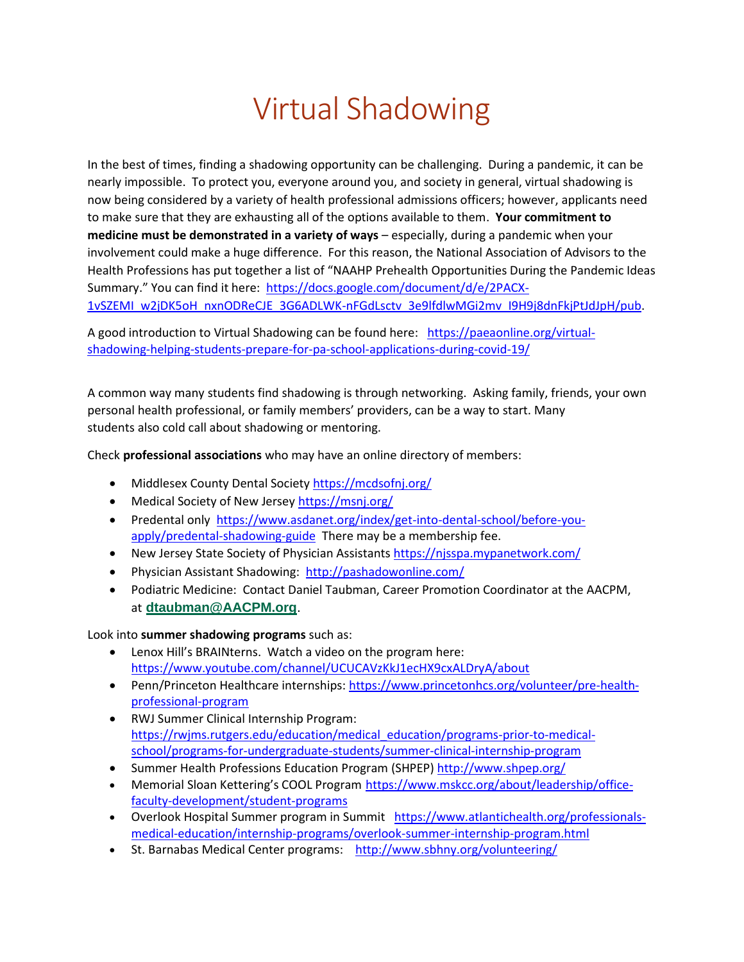## Virtual Shadowing

In the best of times, finding a shadowing opportunity can be challenging. During a pandemic, it can be nearly impossible. To protect you, everyone around you, and society in general, virtual shadowing is now being considered by a variety of health professional admissions officers; however, applicants need to make sure that they are exhausting all of the options available to them. **Your commitment to medicine must be demonstrated in a variety of ways** – especially, during a pandemic when your involvement could make a huge difference. For this reason, the National Association of Advisors to the Health Professions has put together a list of "NAAHP Prehealth Opportunities During the Pandemic Ideas Summary." You can find it here: [https://docs.google.com/document/d/e/2PACX-](about:blank)[1vSZEMI\\_w2jDK5oH\\_nxnODReCJE\\_3G6ADLWK-nFGdLsctv\\_3e9lfdlwMGi2mv\\_I9H9j8dnFkjPtJdJpH/pub.](about:blank)

A good introduction to Virtual Shadowing can be found here: [https://paeaonline.org/virtual](about:blank)[shadowing-helping-students-prepare-for-pa-school-applications-during-covid-19/](about:blank) 

A common way many students find shadowing is through networking. Asking family, friends, your own personal health professional, or family members' providers, can be a way to start. Many students also cold call about shadowing or mentoring.

Check **professional associations** who may have an online directory of members:

- Middlesex County Dental Society [https://mcdsofnj.org/](about:blank)
- Medical Society of New Jersey [https://msnj.org/](about:blank)
- Predental only [https://www.asdanet.org/index/get-into-dental-school/before-you](about:blank)[apply/predental-shadowing-guide](about:blank) There may be a membership fee.
- New Jersey State Society of Physician Assistants [https://njsspa.mypanetwork.com/](about:blank)
- Physician Assistant Shadowing: [http://pashadowonline.com/](about:blank)
- Podiatric Medicine: Contact Daniel Taubman, Career Promotion Coordinator at the AACPM, at **[dtaubman@AACPM.org](about:blank)**.

Look into **summer shadowing programs** such as:

- Lenox Hill's BRAINterns. Watch a video on the program here: [https://www.youtube.com/channel/UCUCAVzKkJ1ecHX9cxALDryA/about](about:blank)
- Penn/Princeton Healthcare internships: [https://www.princetonhcs.org/volunteer/pre-health](about:blank)[professional-program](about:blank)
- RWJ Summer Clinical Internship Program: [https://rwjms.rutgers.edu/education/medical\\_education/programs-prior-to-medical](about:blank)[school/programs-for-undergraduate-students/summer-clinical-internship-program](about:blank)
- Summer Health Professions Education Program (SHPEP) [http://www.shpep.org/](about:blank)
- Memorial Sloan Kettering's COOL Program [https://www.mskcc.org/about/leadership/office](about:blank)[faculty-development/student-programs](about:blank)
- Overlook Hospital Summer program in Summit [https://www.atlantichealth.org/professionals](about:blank)[medical-education/internship-programs/overlook-summer-internship-program.html](about:blank)
- St. Barnabas Medical Center programs: [http://www.sbhny.org/volunteering/](about:blank)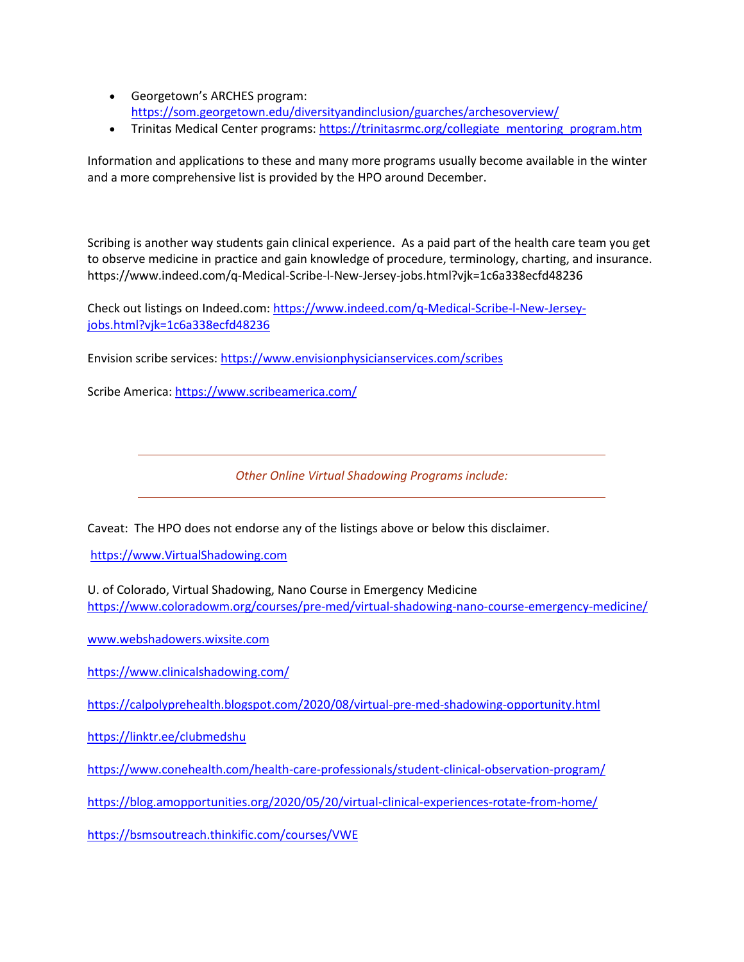- Georgetown's ARCHES program: [https://som.georgetown.edu/diversityandinclusion/guarches/archesoverview/](about:blank)
- Trinitas Medical Center programs[: https://trinitasrmc.org/collegiate\\_mentoring\\_program.htm](about:blank)

Information and applications to these and many more programs usually become available in the winter and a more comprehensive list is provided by the HPO around December.

Scribing is another way students gain clinical experience. As a paid part of the health care team you get to observe medicine in practice and gain knowledge of procedure, terminology, charting, and insurance. https://www.indeed.com/q-Medical-Scribe-l-New-Jersey-jobs.html?vjk=1c6a338ecfd48236

Check out listings on Indeed.com: [https://www.indeed.com/q-Medical-Scribe-l-New-Jersey](about:blank)[jobs.html?vjk=1c6a338ecfd48236](about:blank)

Envision scribe services[: https://www.envisionphysicianservices.com/scribes](about:blank)

Scribe America: [https://www.scribeamerica.com/](about:blank)

*Other Online Virtual Shadowing Programs include:*

Caveat: The HPO does not endorse any of the listings above or below this disclaimer.

[https://www.VirtualShadowing.com](about:blank)

U. of Colorado, Virtual Shadowing, Nano Course in Emergency Medicine [https://www.coloradowm.org/courses/pre-med/virtual-shadowing-nano-course-emergency-medicine/](about:blank)

[www.webshadowers.wixsite.com](about:blank)

[https://www.clinicalshadowing.com/](about:blank)

[https://calpolyprehealth.blogspot.com/2020/08/virtual-pre-med-shadowing-opportunity.html](about:blank)

[https://linktr.ee/clubmedshu](about:blank)

[https://www.conehealth.com/health-care-professionals/student-clinical-observation-program/](about:blank)

[https://blog.amopportunities.org/2020/05/20/virtual-clinical-experiences-rotate-from-home/](about:blank)

[https://bsmsoutreach.thinkific.com/courses/VWE](about:blank)